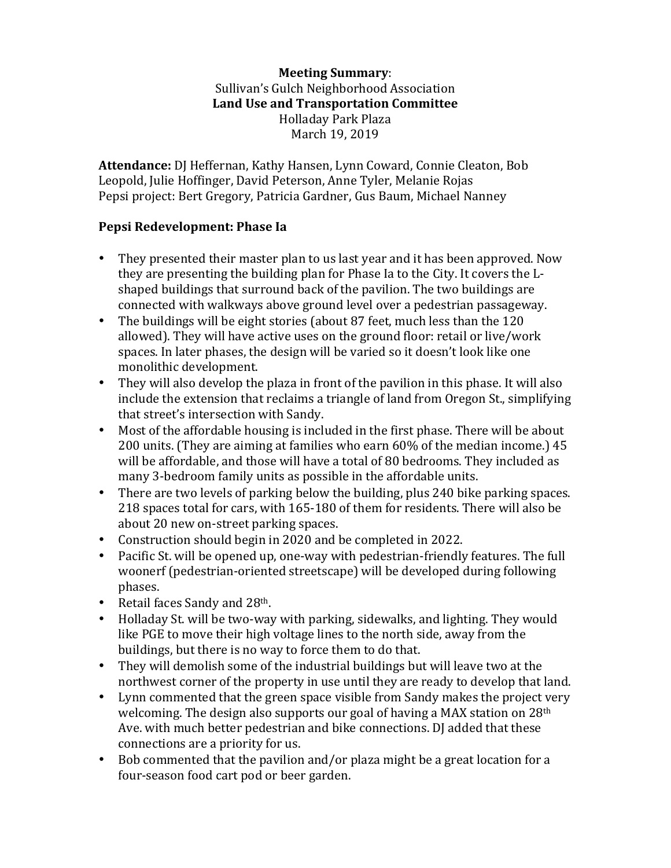## **Meeting Summary**: Sullivan's Gulch Neighborhood Association Land Use and Transportation Committee Holladay Park Plaza March 19, 2019

**Attendance:** DJ Heffernan, Kathy Hansen, Lynn Coward, Connie Cleaton, Bob Leopold, Julie Hoffinger, David Peterson, Anne Tyler, Melanie Rojas Pepsi project: Bert Gregory, Patricia Gardner, Gus Baum, Michael Nanney

## Pepsi Redevelopment: Phase Ia

- They presented their master plan to us last year and it has been approved. Now they are presenting the building plan for Phase Ia to the City. It covers the Lshaped buildings that surround back of the pavilion. The two buildings are connected with walkways above ground level over a pedestrian passageway.
- The buildings will be eight stories (about 87 feet, much less than the 120 allowed). They will have active uses on the ground floor: retail or live/work spaces. In later phases, the design will be varied so it doesn't look like one monolithic development.
- They will also develop the plaza in front of the pavilion in this phase. It will also include the extension that reclaims a triangle of land from Oregon St., simplifying that street's intersection with Sandy.
- Most of the affordable housing is included in the first phase. There will be about 200 units. (They are aiming at families who earn 60% of the median income.) 45 will be affordable, and those will have a total of 80 bedrooms. They included as many 3-bedroom family units as possible in the affordable units.
- There are two levels of parking below the building, plus 240 bike parking spaces. 218 spaces total for cars, with 165-180 of them for residents. There will also be about 20 new on-street parking spaces.
- Construction should begin in 2020 and be completed in 2022.
- Pacific St. will be opened up, one-way with pedestrian-friendly features. The full woonerf (pedestrian-oriented streetscape) will be developed during following phases.
- Retail faces Sandy and  $28<sup>th</sup>$ .
- Holladay St. will be two-way with parking, sidewalks, and lighting. They would like PGE to move their high voltage lines to the north side, away from the buildings, but there is no way to force them to do that.
- They will demolish some of the industrial buildings but will leave two at the northwest corner of the property in use until they are ready to develop that land.
- Lynn commented that the green space visible from Sandy makes the project very welcoming. The design also supports our goal of having a MAX station on  $28<sup>th</sup>$ Ave. with much better pedestrian and bike connections. DJ added that these connections are a priority for us.
- Bob commented that the pavilion and/or plaza might be a great location for a four-season food cart pod or beer garden.